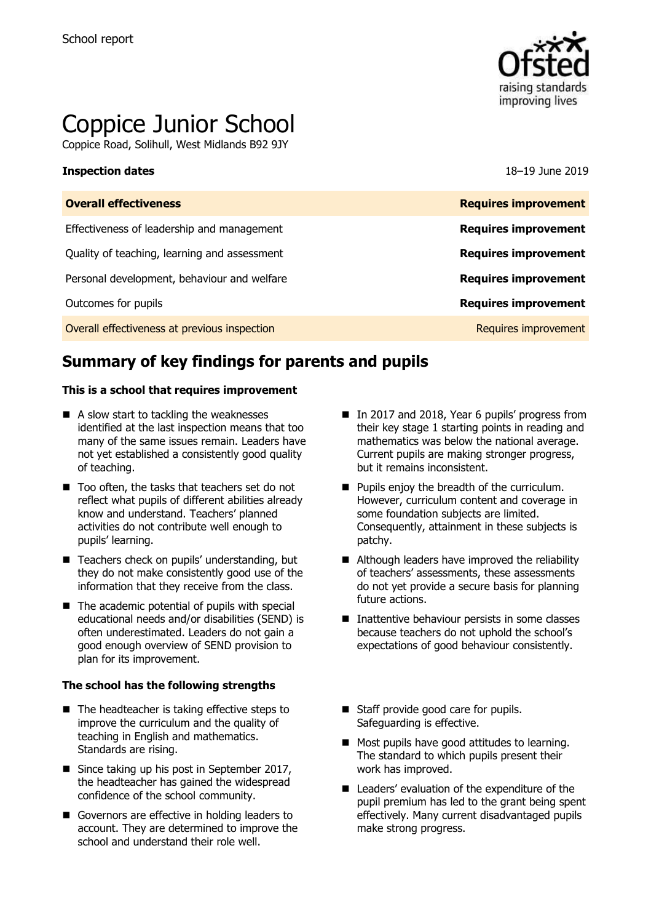

# Coppice Junior School

Coppice Road, Solihull, West Midlands B92 9JY

### **Inspection dates** 18–19 June 2019

| <b>Requires improvement</b> |
|-----------------------------|
| <b>Requires improvement</b> |
| <b>Requires improvement</b> |
| <b>Requires improvement</b> |
| <b>Requires improvement</b> |
| Requires improvement        |
|                             |

# **Summary of key findings for parents and pupils**

### **This is a school that requires improvement**

- A slow start to tackling the weaknesses identified at the last inspection means that too many of the same issues remain. Leaders have not yet established a consistently good quality of teaching.
- Too often, the tasks that teachers set do not reflect what pupils of different abilities already know and understand. Teachers' planned activities do not contribute well enough to pupils' learning.
- Teachers check on pupils' understanding, but they do not make consistently good use of the information that they receive from the class.
- $\blacksquare$  The academic potential of pupils with special educational needs and/or disabilities (SEND) is often underestimated. Leaders do not gain a good enough overview of SEND provision to plan for its improvement.

### **The school has the following strengths**

- $\blacksquare$  The headteacher is taking effective steps to improve the curriculum and the quality of teaching in English and mathematics. Standards are rising.
- Since taking up his post in September 2017, the headteacher has gained the widespread confidence of the school community.
- Governors are effective in holding leaders to account. They are determined to improve the school and understand their role well.
- In 2017 and 2018, Year 6 pupils' progress from their key stage 1 starting points in reading and mathematics was below the national average. Current pupils are making stronger progress, but it remains inconsistent.
- **Pupils enjoy the breadth of the curriculum.** However, curriculum content and coverage in some foundation subjects are limited. Consequently, attainment in these subjects is patchy.
- Although leaders have improved the reliability of teachers' assessments, these assessments do not yet provide a secure basis for planning future actions.
- Inattentive behaviour persists in some classes because teachers do not uphold the school's expectations of good behaviour consistently.
- Staff provide good care for pupils. Safeguarding is effective.
- Most pupils have good attitudes to learning. The standard to which pupils present their work has improved.
- Leaders' evaluation of the expenditure of the pupil premium has led to the grant being spent effectively. Many current disadvantaged pupils make strong progress.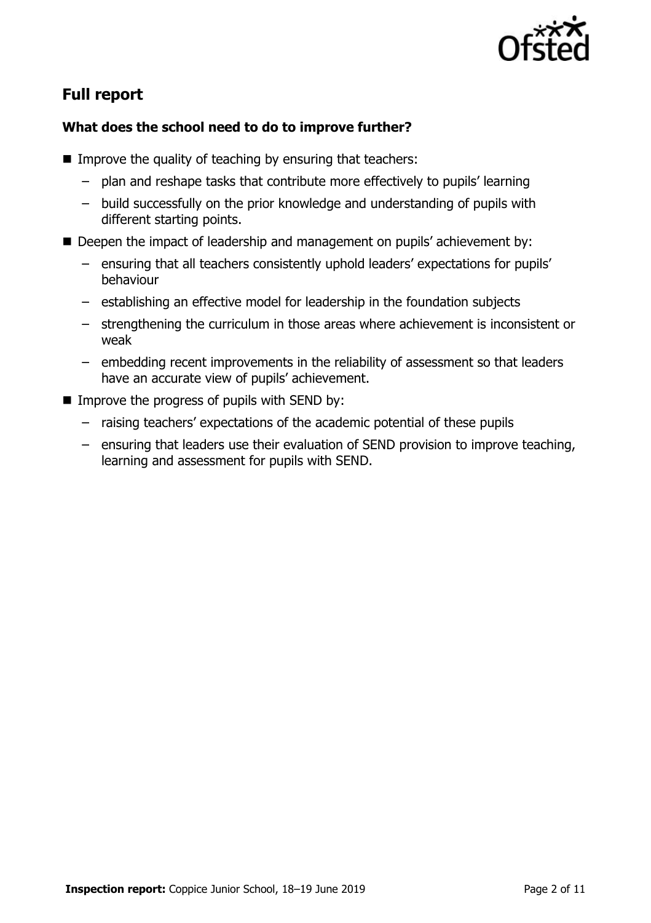

# **Full report**

### **What does the school need to do to improve further?**

- Improve the quality of teaching by ensuring that teachers:
	- plan and reshape tasks that contribute more effectively to pupils' learning
	- build successfully on the prior knowledge and understanding of pupils with different starting points.
- Deepen the impact of leadership and management on pupils' achievement by:
	- ensuring that all teachers consistently uphold leaders' expectations for pupils' behaviour
	- establishing an effective model for leadership in the foundation subjects
	- strengthening the curriculum in those areas where achievement is inconsistent or weak
	- embedding recent improvements in the reliability of assessment so that leaders have an accurate view of pupils' achievement.
- $\blacksquare$  Improve the progress of pupils with SEND by:
	- raising teachers' expectations of the academic potential of these pupils
	- ensuring that leaders use their evaluation of SEND provision to improve teaching, learning and assessment for pupils with SEND.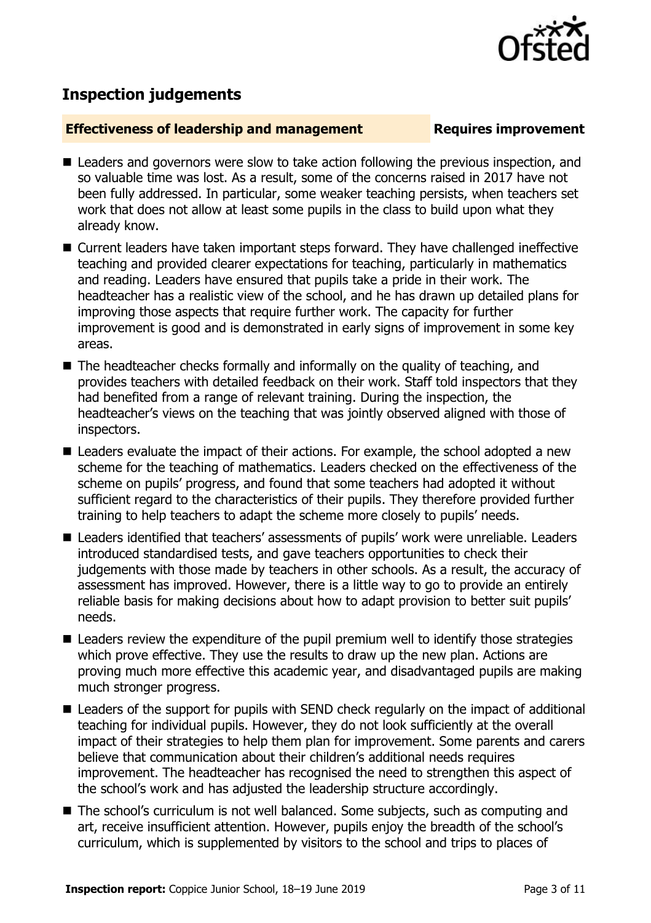

# **Inspection judgements**

### **Effectiveness of leadership and management Requires improvement**

- Leaders and governors were slow to take action following the previous inspection, and so valuable time was lost. As a result, some of the concerns raised in 2017 have not been fully addressed. In particular, some weaker teaching persists, when teachers set work that does not allow at least some pupils in the class to build upon what they already know.
- Current leaders have taken important steps forward. They have challenged ineffective teaching and provided clearer expectations for teaching, particularly in mathematics and reading. Leaders have ensured that pupils take a pride in their work. The headteacher has a realistic view of the school, and he has drawn up detailed plans for improving those aspects that require further work. The capacity for further improvement is good and is demonstrated in early signs of improvement in some key areas.
- The headteacher checks formally and informally on the quality of teaching, and provides teachers with detailed feedback on their work. Staff told inspectors that they had benefited from a range of relevant training. During the inspection, the headteacher's views on the teaching that was jointly observed aligned with those of inspectors.
- Leaders evaluate the impact of their actions. For example, the school adopted a new scheme for the teaching of mathematics. Leaders checked on the effectiveness of the scheme on pupils' progress, and found that some teachers had adopted it without sufficient regard to the characteristics of their pupils. They therefore provided further training to help teachers to adapt the scheme more closely to pupils' needs.
- Leaders identified that teachers' assessments of pupils' work were unreliable. Leaders introduced standardised tests, and gave teachers opportunities to check their judgements with those made by teachers in other schools. As a result, the accuracy of assessment has improved. However, there is a little way to go to provide an entirely reliable basis for making decisions about how to adapt provision to better suit pupils' needs.
- Leaders review the expenditure of the pupil premium well to identify those strategies which prove effective. They use the results to draw up the new plan. Actions are proving much more effective this academic year, and disadvantaged pupils are making much stronger progress.
- Leaders of the support for pupils with SEND check regularly on the impact of additional teaching for individual pupils. However, they do not look sufficiently at the overall impact of their strategies to help them plan for improvement. Some parents and carers believe that communication about their children's additional needs requires improvement. The headteacher has recognised the need to strengthen this aspect of the school's work and has adjusted the leadership structure accordingly.
- The school's curriculum is not well balanced. Some subjects, such as computing and art, receive insufficient attention. However, pupils enjoy the breadth of the school's curriculum, which is supplemented by visitors to the school and trips to places of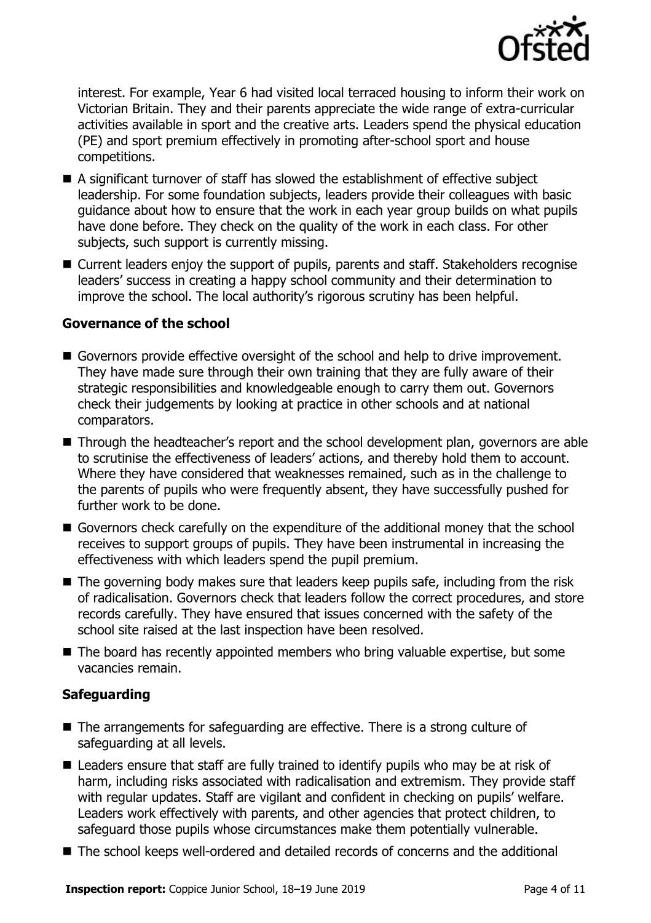

interest. For example, Year 6 had visited local terraced housing to inform their work on Victorian Britain. They and their parents appreciate the wide range of extra-curricular activities available in sport and the creative arts. Leaders spend the physical education (PE) and sport premium effectively in promoting after-school sport and house competitions.

- A significant turnover of staff has slowed the establishment of effective subject leadership. For some foundation subjects, leaders provide their colleagues with basic guidance about how to ensure that the work in each year group builds on what pupils have done before. They check on the quality of the work in each class. For other subjects, such support is currently missing.
- Current leaders enjoy the support of pupils, parents and staff. Stakeholders recognise leaders' success in creating a happy school community and their determination to improve the school. The local authority's rigorous scrutiny has been helpful.

### **Governance of the school**

- Governors provide effective oversight of the school and help to drive improvement. They have made sure through their own training that they are fully aware of their strategic responsibilities and knowledgeable enough to carry them out. Governors check their judgements by looking at practice in other schools and at national comparators.
- Through the headteacher's report and the school development plan, governors are able to scrutinise the effectiveness of leaders' actions, and thereby hold them to account. Where they have considered that weaknesses remained, such as in the challenge to the parents of pupils who were frequently absent, they have successfully pushed for further work to be done.
- Governors check carefully on the expenditure of the additional money that the school receives to support groups of pupils. They have been instrumental in increasing the effectiveness with which leaders spend the pupil premium.
- The governing body makes sure that leaders keep pupils safe, including from the risk of radicalisation. Governors check that leaders follow the correct procedures, and store records carefully. They have ensured that issues concerned with the safety of the school site raised at the last inspection have been resolved.
- The board has recently appointed members who bring valuable expertise, but some vacancies remain.

### **Safeguarding**

- The arrangements for safeguarding are effective. There is a strong culture of safeguarding at all levels.
- Leaders ensure that staff are fully trained to identify pupils who may be at risk of harm, including risks associated with radicalisation and extremism. They provide staff with regular updates. Staff are vigilant and confident in checking on pupils' welfare. Leaders work effectively with parents, and other agencies that protect children, to safeguard those pupils whose circumstances make them potentially vulnerable.
- The school keeps well-ordered and detailed records of concerns and the additional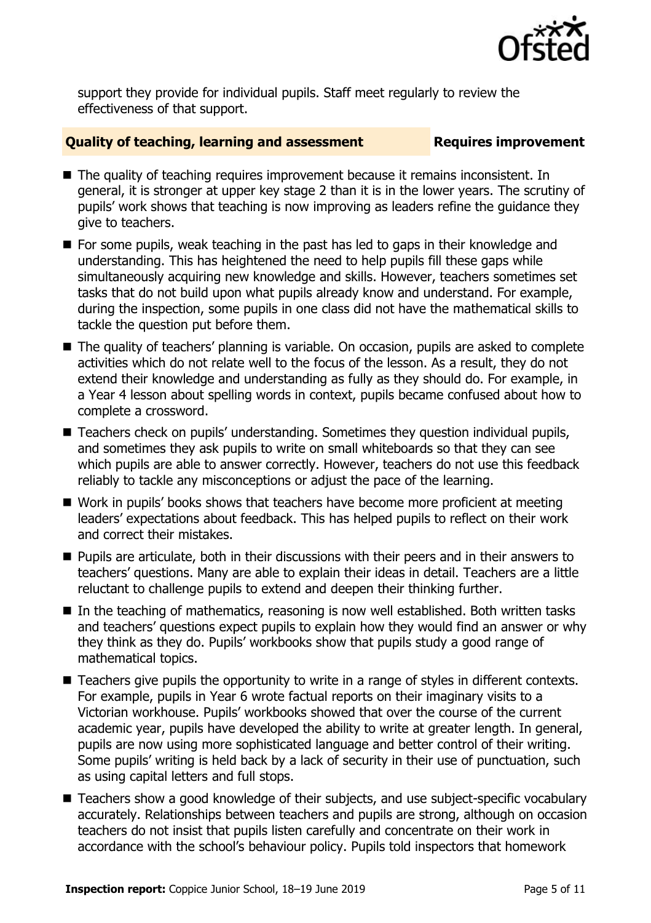

support they provide for individual pupils. Staff meet regularly to review the effectiveness of that support.

### **Quality of teaching, learning and assessment Requires improvement**

- The quality of teaching requires improvement because it remains inconsistent. In general, it is stronger at upper key stage 2 than it is in the lower years. The scrutiny of pupils' work shows that teaching is now improving as leaders refine the guidance they give to teachers.
- For some pupils, weak teaching in the past has led to gaps in their knowledge and understanding. This has heightened the need to help pupils fill these gaps while simultaneously acquiring new knowledge and skills. However, teachers sometimes set tasks that do not build upon what pupils already know and understand. For example, during the inspection, some pupils in one class did not have the mathematical skills to tackle the question put before them.
- The quality of teachers' planning is variable. On occasion, pupils are asked to complete activities which do not relate well to the focus of the lesson. As a result, they do not extend their knowledge and understanding as fully as they should do. For example, in a Year 4 lesson about spelling words in context, pupils became confused about how to complete a crossword.
- Teachers check on pupils' understanding. Sometimes they question individual pupils, and sometimes they ask pupils to write on small whiteboards so that they can see which pupils are able to answer correctly. However, teachers do not use this feedback reliably to tackle any misconceptions or adjust the pace of the learning.
- Work in pupils' books shows that teachers have become more proficient at meeting leaders' expectations about feedback. This has helped pupils to reflect on their work and correct their mistakes.
- **Pupils are articulate, both in their discussions with their peers and in their answers to** teachers' questions. Many are able to explain their ideas in detail. Teachers are a little reluctant to challenge pupils to extend and deepen their thinking further.
- In the teaching of mathematics, reasoning is now well established. Both written tasks and teachers' questions expect pupils to explain how they would find an answer or why they think as they do. Pupils' workbooks show that pupils study a good range of mathematical topics.
- Teachers give pupils the opportunity to write in a range of styles in different contexts. For example, pupils in Year 6 wrote factual reports on their imaginary visits to a Victorian workhouse. Pupils' workbooks showed that over the course of the current academic year, pupils have developed the ability to write at greater length. In general, pupils are now using more sophisticated language and better control of their writing. Some pupils' writing is held back by a lack of security in their use of punctuation, such as using capital letters and full stops.
- Teachers show a good knowledge of their subjects, and use subject-specific vocabulary accurately. Relationships between teachers and pupils are strong, although on occasion teachers do not insist that pupils listen carefully and concentrate on their work in accordance with the school's behaviour policy. Pupils told inspectors that homework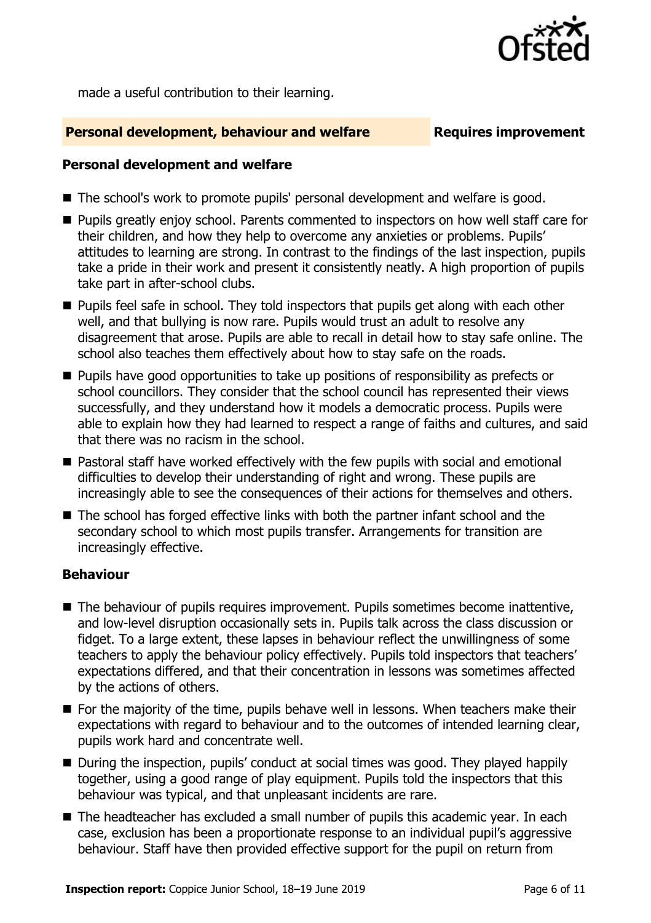

made a useful contribution to their learning.

### **Personal development, behaviour and welfare Fig. 2.1 Requires improvement**

### **Personal development and welfare**

- The school's work to promote pupils' personal development and welfare is good.
- **Pupils greatly enjoy school. Parents commented to inspectors on how well staff care for** their children, and how they help to overcome any anxieties or problems. Pupils' attitudes to learning are strong. In contrast to the findings of the last inspection, pupils take a pride in their work and present it consistently neatly. A high proportion of pupils take part in after-school clubs.
- **Pupils feel safe in school. They told inspectors that pupils get along with each other** well, and that bullying is now rare. Pupils would trust an adult to resolve any disagreement that arose. Pupils are able to recall in detail how to stay safe online. The school also teaches them effectively about how to stay safe on the roads.
- **Pupils have good opportunities to take up positions of responsibility as prefects or** school councillors. They consider that the school council has represented their views successfully, and they understand how it models a democratic process. Pupils were able to explain how they had learned to respect a range of faiths and cultures, and said that there was no racism in the school.
- Pastoral staff have worked effectively with the few pupils with social and emotional difficulties to develop their understanding of right and wrong. These pupils are increasingly able to see the consequences of their actions for themselves and others.
- The school has forged effective links with both the partner infant school and the secondary school to which most pupils transfer. Arrangements for transition are increasingly effective.

### **Behaviour**

- The behaviour of pupils requires improvement. Pupils sometimes become inattentive, and low-level disruption occasionally sets in. Pupils talk across the class discussion or fidget. To a large extent, these lapses in behaviour reflect the unwillingness of some teachers to apply the behaviour policy effectively. Pupils told inspectors that teachers' expectations differed, and that their concentration in lessons was sometimes affected by the actions of others.
- For the majority of the time, pupils behave well in lessons. When teachers make their expectations with regard to behaviour and to the outcomes of intended learning clear, pupils work hard and concentrate well.
- During the inspection, pupils' conduct at social times was good. They played happily together, using a good range of play equipment. Pupils told the inspectors that this behaviour was typical, and that unpleasant incidents are rare.
- The headteacher has excluded a small number of pupils this academic year. In each case, exclusion has been a proportionate response to an individual pupil's aggressive behaviour. Staff have then provided effective support for the pupil on return from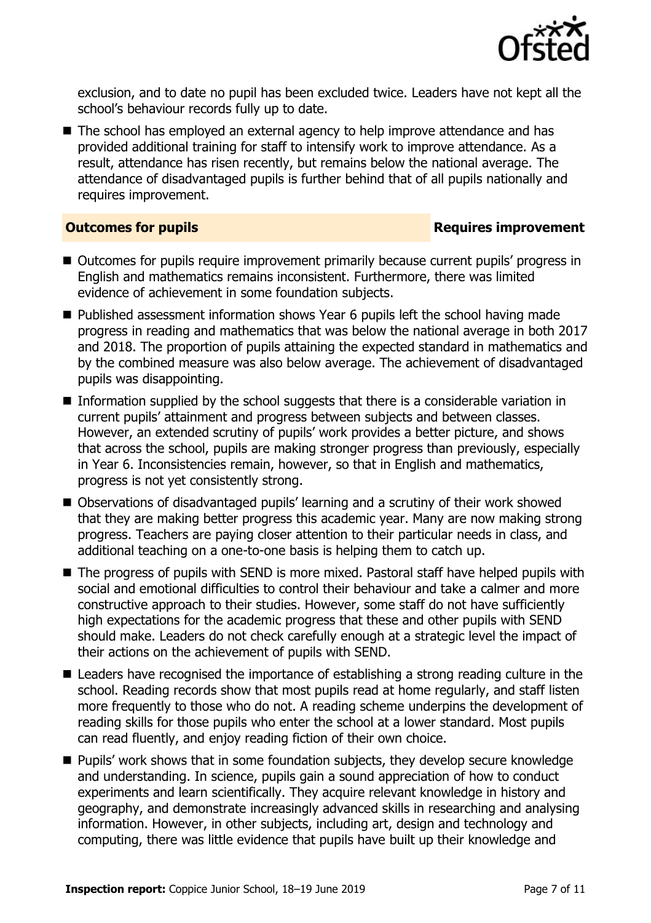

exclusion, and to date no pupil has been excluded twice. Leaders have not kept all the school's behaviour records fully up to date.

The school has employed an external agency to help improve attendance and has provided additional training for staff to intensify work to improve attendance. As a result, attendance has risen recently, but remains below the national average. The attendance of disadvantaged pupils is further behind that of all pupils nationally and requires improvement.

### **Outcomes for pupils Requires improvement**

- Outcomes for pupils require improvement primarily because current pupils' progress in English and mathematics remains inconsistent. Furthermore, there was limited evidence of achievement in some foundation subjects.
- Published assessment information shows Year 6 pupils left the school having made progress in reading and mathematics that was below the national average in both 2017 and 2018. The proportion of pupils attaining the expected standard in mathematics and by the combined measure was also below average. The achievement of disadvantaged pupils was disappointing.
- **Information supplied by the school suggests that there is a considerable variation in** current pupils' attainment and progress between subjects and between classes. However, an extended scrutiny of pupils' work provides a better picture, and shows that across the school, pupils are making stronger progress than previously, especially in Year 6. Inconsistencies remain, however, so that in English and mathematics, progress is not yet consistently strong.
- Observations of disadvantaged pupils' learning and a scrutiny of their work showed that they are making better progress this academic year. Many are now making strong progress. Teachers are paying closer attention to their particular needs in class, and additional teaching on a one-to-one basis is helping them to catch up.
- The progress of pupils with SEND is more mixed. Pastoral staff have helped pupils with social and emotional difficulties to control their behaviour and take a calmer and more constructive approach to their studies. However, some staff do not have sufficiently high expectations for the academic progress that these and other pupils with SEND should make. Leaders do not check carefully enough at a strategic level the impact of their actions on the achievement of pupils with SEND.
- Leaders have recognised the importance of establishing a strong reading culture in the school. Reading records show that most pupils read at home regularly, and staff listen more frequently to those who do not. A reading scheme underpins the development of reading skills for those pupils who enter the school at a lower standard. Most pupils can read fluently, and enjoy reading fiction of their own choice.
- Pupils' work shows that in some foundation subjects, they develop secure knowledge and understanding. In science, pupils gain a sound appreciation of how to conduct experiments and learn scientifically. They acquire relevant knowledge in history and geography, and demonstrate increasingly advanced skills in researching and analysing information. However, in other subjects, including art, design and technology and computing, there was little evidence that pupils have built up their knowledge and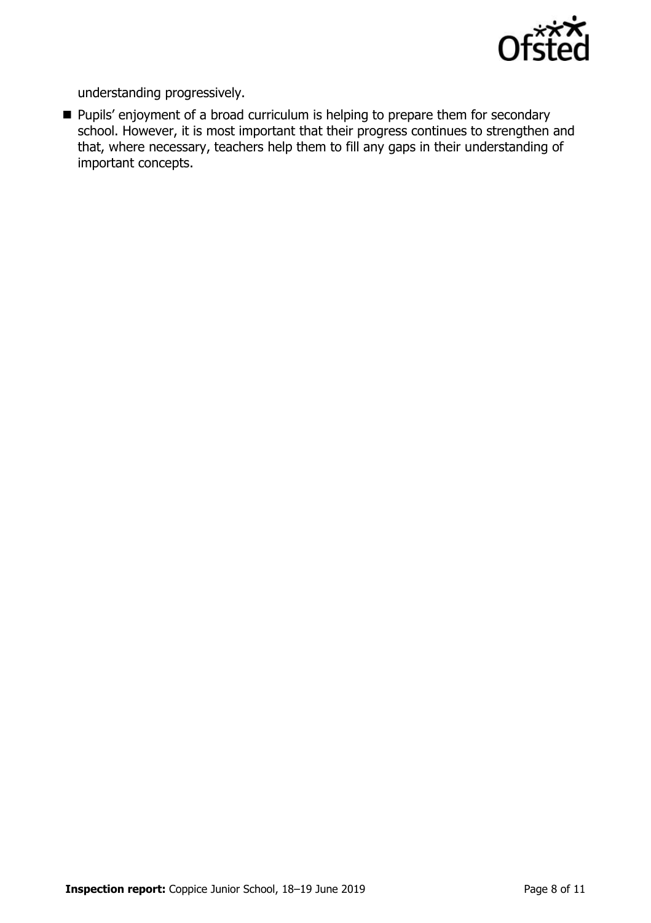

understanding progressively.

**Pupils'** enjoyment of a broad curriculum is helping to prepare them for secondary school. However, it is most important that their progress continues to strengthen and that, where necessary, teachers help them to fill any gaps in their understanding of important concepts.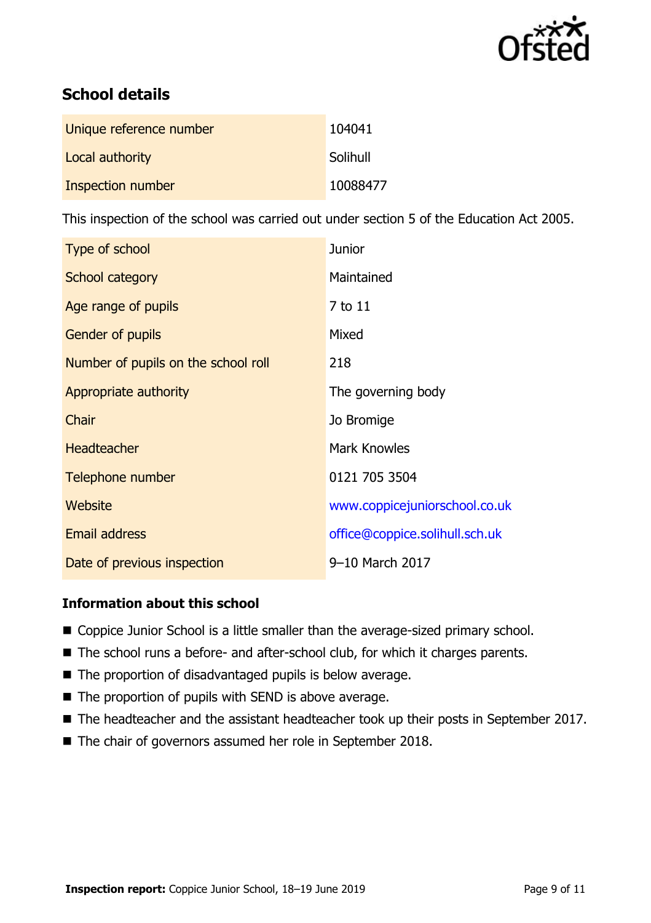

# **School details**

| Unique reference number | 104041   |
|-------------------------|----------|
| Local authority         | Solihull |
| Inspection number       | 10088477 |

This inspection of the school was carried out under section 5 of the Education Act 2005.

| Type of school                      | <b>Junior</b>                  |
|-------------------------------------|--------------------------------|
| School category                     | Maintained                     |
| Age range of pupils                 | 7 to 11                        |
| <b>Gender of pupils</b>             | Mixed                          |
| Number of pupils on the school roll | 218                            |
| Appropriate authority               | The governing body             |
| Chair                               | Jo Bromige                     |
| <b>Headteacher</b>                  | <b>Mark Knowles</b>            |
| Telephone number                    | 0121 705 3504                  |
| Website                             | www.coppicejuniorschool.co.uk  |
| <b>Email address</b>                | office@coppice.solihull.sch.uk |
| Date of previous inspection         | 9-10 March 2017                |

### **Information about this school**

- Coppice Junior School is a little smaller than the average-sized primary school.
- The school runs a before- and after-school club, for which it charges parents.
- The proportion of disadvantaged pupils is below average.
- The proportion of pupils with SEND is above average.
- The headteacher and the assistant headteacher took up their posts in September 2017.
- The chair of governors assumed her role in September 2018.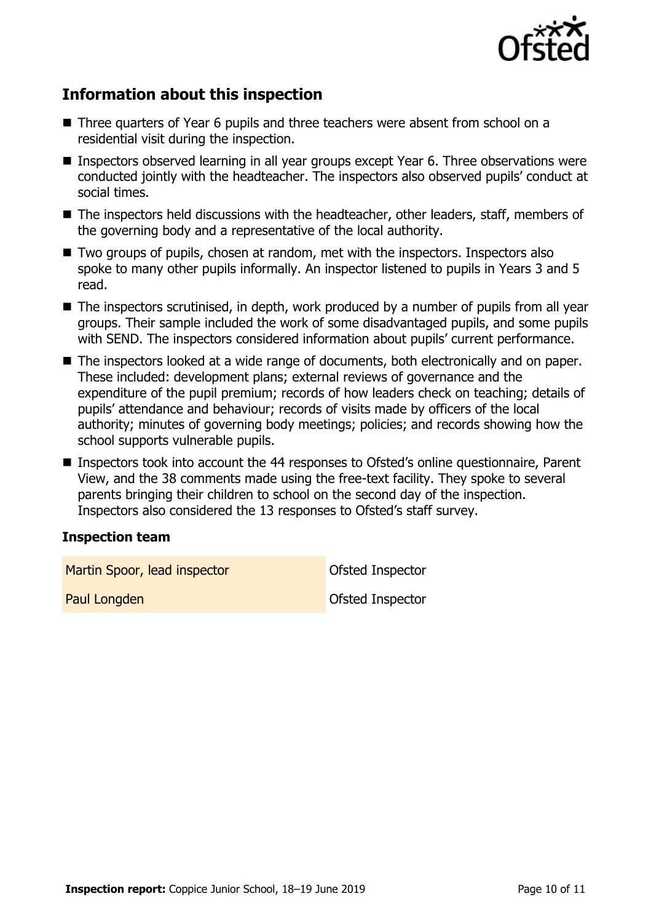

## **Information about this inspection**

- Three quarters of Year 6 pupils and three teachers were absent from school on a residential visit during the inspection.
- **Inspectors observed learning in all year groups except Year 6. Three observations were** conducted jointly with the headteacher. The inspectors also observed pupils' conduct at social times.
- The inspectors held discussions with the headteacher, other leaders, staff, members of the governing body and a representative of the local authority.
- Two groups of pupils, chosen at random, met with the inspectors. Inspectors also spoke to many other pupils informally. An inspector listened to pupils in Years 3 and 5 read.
- The inspectors scrutinised, in depth, work produced by a number of pupils from all year groups. Their sample included the work of some disadvantaged pupils, and some pupils with SEND. The inspectors considered information about pupils' current performance.
- The inspectors looked at a wide range of documents, both electronically and on paper. These included: development plans; external reviews of governance and the expenditure of the pupil premium; records of how leaders check on teaching; details of pupils' attendance and behaviour; records of visits made by officers of the local authority; minutes of governing body meetings; policies; and records showing how the school supports vulnerable pupils.
- Inspectors took into account the 44 responses to Ofsted's online questionnaire, Parent View, and the 38 comments made using the free-text facility. They spoke to several parents bringing their children to school on the second day of the inspection. Inspectors also considered the 13 responses to Ofsted's staff survey.

### **Inspection team**

Martin Spoor, lead inspector and a Constanting Ofsted Inspector

Paul Longden **Designation** Ofsted Inspector